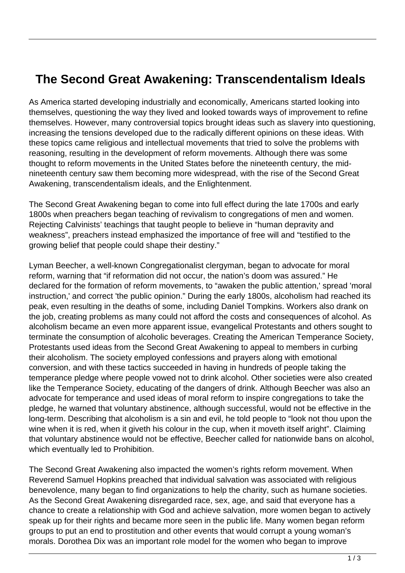## **The Second Great Awakening: Transcendentalism Ideals**

As America started developing industrially and economically, Americans started looking into themselves, questioning the way they lived and looked towards ways of improvement to refine themselves. However, many controversial topics brought ideas such as slavery into questioning, increasing the tensions developed due to the radically different opinions on these ideas. With these topics came religious and intellectual movements that tried to solve the problems with reasoning, resulting in the development of reform movements. Although there was some thought to reform movements in the United States before the nineteenth century, the midnineteenth century saw them becoming more widespread, with the rise of the Second Great Awakening, transcendentalism ideals, and the Enlightenment.

The Second Great Awakening began to come into full effect during the late 1700s and early 1800s when preachers began teaching of revivalism to congregations of men and women. Rejecting Calvinists' teachings that taught people to believe in "human depravity and weakness", preachers instead emphasized the importance of free will and "testified to the growing belief that people could shape their destiny."

Lyman Beecher, a well-known Congregationalist clergyman, began to advocate for moral reform, warning that "if reformation did not occur, the nation's doom was assured." He declared for the formation of reform movements, to "awaken the public attention,' spread 'moral instruction,' and correct 'the public opinion." During the early 1800s, alcoholism had reached its peak, even resulting in the deaths of some, including Daniel Tompkins. Workers also drank on the job, creating problems as many could not afford the costs and consequences of alcohol. As alcoholism became an even more apparent issue, evangelical Protestants and others sought to terminate the consumption of alcoholic beverages. Creating the American Temperance Society, Protestants used ideas from the Second Great Awakening to appeal to members in curbing their alcoholism. The society employed confessions and prayers along with emotional conversion, and with these tactics succeeded in having in hundreds of people taking the temperance pledge where people vowed not to drink alcohol. Other societies were also created like the Temperance Society, educating of the dangers of drink. Although Beecher was also an advocate for temperance and used ideas of moral reform to inspire congregations to take the pledge, he warned that voluntary abstinence, although successful, would not be effective in the long-term. Describing that alcoholism is a sin and evil, he told people to "look not thou upon the wine when it is red, when it giveth his colour in the cup, when it moveth itself aright". Claiming that voluntary abstinence would not be effective, Beecher called for nationwide bans on alcohol, which eventually led to Prohibition.

The Second Great Awakening also impacted the women's rights reform movement. When Reverend Samuel Hopkins preached that individual salvation was associated with religious benevolence, many began to find organizations to help the charity, such as humane societies. As the Second Great Awakening disregarded race, sex, age, and said that everyone has a chance to create a relationship with God and achieve salvation, more women began to actively speak up for their rights and became more seen in the public life. Many women began reform groups to put an end to prostitution and other events that would corrupt a young woman's morals. Dorothea Dix was an important role model for the women who began to improve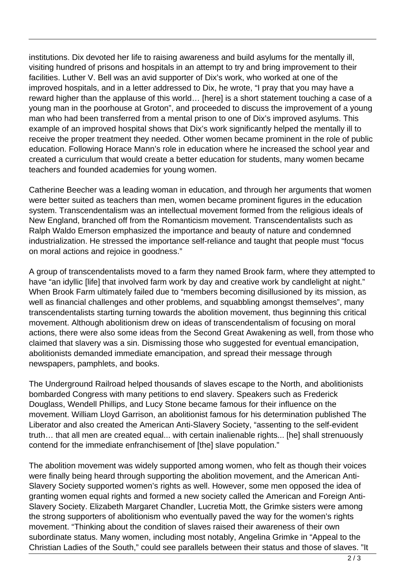institutions. Dix devoted her life to raising awareness and build asylums for the mentally ill, visiting hundred of prisons and hospitals in an attempt to try and bring improvement to their facilities. Luther V. Bell was an avid supporter of Dix's work, who worked at one of the improved hospitals, and in a letter addressed to Dix, he wrote, "I pray that you may have a reward higher than the applause of this world… [here] is a short statement touching a case of a young man in the poorhouse at Groton", and proceeded to discuss the improvement of a young man who had been transferred from a mental prison to one of Dix's improved asylums. This example of an improved hospital shows that Dix's work significantly helped the mentally ill to receive the proper treatment they needed. Other women became prominent in the role of public education. Following Horace Mann's role in education where he increased the school year and created a curriculum that would create a better education for students, many women became teachers and founded academies for young women.

Catherine Beecher was a leading woman in education, and through her arguments that women were better suited as teachers than men, women became prominent figures in the education system. Transcendentalism was an intellectual movement formed from the religious ideals of New England, branched off from the Romanticism movement. Transcendentalists such as Ralph Waldo Emerson emphasized the importance and beauty of nature and condemned industrialization. He stressed the importance self-reliance and taught that people must "focus on moral actions and rejoice in goodness."

A group of transcendentalists moved to a farm they named Brook farm, where they attempted to have "an idyllic [life] that involved farm work by day and creative work by candlelight at night." When Brook Farm ultimately failed due to "members becoming disillusioned by its mission, as well as financial challenges and other problems, and squabbling amongst themselves", many transcendentalists starting turning towards the abolition movement, thus beginning this critical movement. Although abolitionism drew on ideas of transcendentalism of focusing on moral actions, there were also some ideas from the Second Great Awakening as well, from those who claimed that slavery was a sin. Dismissing those who suggested for eventual emancipation, abolitionists demanded immediate emancipation, and spread their message through newspapers, pamphlets, and books.

The Underground Railroad helped thousands of slaves escape to the North, and abolitionists bombarded Congress with many petitions to end slavery. Speakers such as Frederick Douglass, Wendell Phillips, and Lucy Stone became famous for their influence on the movement. William Lloyd Garrison, an abolitionist famous for his determination published The Liberator and also created the American Anti-Slavery Society, "assenting to the self-evident truth… that all men are created equal... with certain inalienable rights... [he] shall strenuously contend for the immediate enfranchisement of [the] slave population."

The abolition movement was widely supported among women, who felt as though their voices were finally being heard through supporting the abolition movement, and the American Anti-Slavery Society supported women's rights as well. However, some men opposed the idea of granting women equal rights and formed a new society called the American and Foreign Anti-Slavery Society. Elizabeth Margaret Chandler, Lucretia Mott, the Grimke sisters were among the strong supporters of abolitionism who eventually paved the way for the women's rights movement. "Thinking about the condition of slaves raised their awareness of their own subordinate status. Many women, including most notably, Angelina Grimke in "Appeal to the Christian Ladies of the South," could see parallels between their status and those of slaves. "It